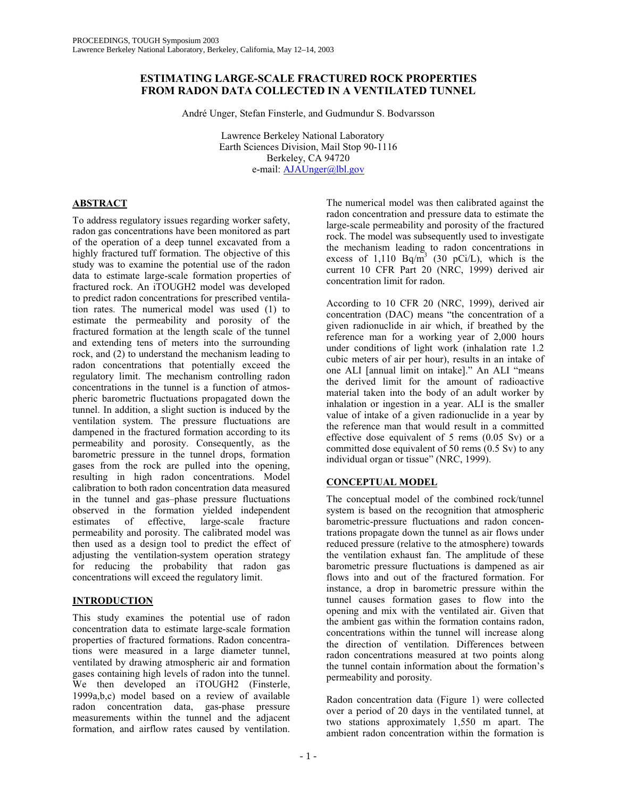# **ESTIMATING LARGE-SCALE FRACTURED ROCK PROPERTIES FROM RADON DATA COLLECTED IN A VENTILATED TUNNEL**

André Unger, Stefan Finsterle, and Gudmundur S. Bodvarsson

 Lawrence Berkeley National Laboratory Earth Sciences Division, Mail Stop 90-1116 Berkeley, CA 94720 e-mail: AJAUnger@lbl.gov

# **ABSTRACT**

To address regulatory issues regarding worker safety, radon gas concentrations have been monitored as part of the operation of a deep tunnel excavated from a highly fractured tuff formation. The objective of this study was to examine the potential use of the radon data to estimate large-scale formation properties of fractured rock. An iTOUGH2 model was developed to predict radon concentrations for prescribed ventilation rates. The numerical model was used (1) to estimate the permeability and porosity of the fractured formation at the length scale of the tunnel and extending tens of meters into the surrounding rock, and (2) to understand the mechanism leading to radon concentrations that potentially exceed the regulatory limit. The mechanism controlling radon concentrations in the tunnel is a function of atmospheric barometric fluctuations propagated down the tunnel. In addition, a slight suction is induced by the ventilation system. The pressure fluctuations are dampened in the fractured formation according to its permeability and porosity. Consequently, as the barometric pressure in the tunnel drops, formation gases from the rock are pulled into the opening, resulting in high radon concentrations. Model calibration to both radon concentration data measured in the tunnel and gas–phase pressure fluctuations observed in the formation yielded independent estimates of effective, large-scale fracture permeability and porosity. The calibrated model was then used as a design tool to predict the effect of adjusting the ventilation-system operation strategy for reducing the probability that radon gas concentrations will exceed the regulatory limit.

# **INTRODUCTION**

This study examines the potential use of radon concentration data to estimate large-scale formation properties of fractured formations. Radon concentrations were measured in a large diameter tunnel, ventilated by drawing atmospheric air and formation gases containing high levels of radon into the tunnel. We then developed an iTOUGH2 (Finsterle, 1999a,b,c) model based on a review of available radon concentration data, gas-phase pressure measurements within the tunnel and the adjacent formation, and airflow rates caused by ventilation.

The numerical model was then calibrated against the radon concentration and pressure data to estimate the large-scale permeability and porosity of the fractured rock. The model was subsequently used to investigate the mechanism leading to radon concentrations in excess of 1,110  $Bq/m^3$  (30 pCi/L), which is the current 10 CFR Part 20 (NRC, 1999) derived air concentration limit for radon.

According to 10 CFR 20 (NRC, 1999), derived air concentration (DAC) means "the concentration of a given radionuclide in air which, if breathed by the reference man for a working year of 2,000 hours under conditions of light work (inhalation rate 1.2 cubic meters of air per hour), results in an intake of one ALI [annual limit on intake]." An ALI "means the derived limit for the amount of radioactive material taken into the body of an adult worker by inhalation or ingestion in a year. ALI is the smaller value of intake of a given radionuclide in a year by the reference man that would result in a committed effective dose equivalent of 5 rems (0.05 Sv) or a committed dose equivalent of 50 rems (0.5 Sv) to any individual organ or tissue" (NRC, 1999).

# **CONCEPTUAL MODEL**

The conceptual model of the combined rock/tunnel system is based on the recognition that atmospheric barometric-pressure fluctuations and radon concentrations propagate down the tunnel as air flows under reduced pressure (relative to the atmosphere) towards the ventilation exhaust fan. The amplitude of these barometric pressure fluctuations is dampened as air flows into and out of the fractured formation. For instance, a drop in barometric pressure within the tunnel causes formation gases to flow into the opening and mix with the ventilated air. Given that the ambient gas within the formation contains radon, concentrations within the tunnel will increase along the direction of ventilation. Differences between radon concentrations measured at two points along the tunnel contain information about the formation's permeability and porosity.

Radon concentration data (Figure 1) were collected over a period of 20 days in the ventilated tunnel, at two stations approximately 1,550 m apart. The ambient radon concentration within the formation is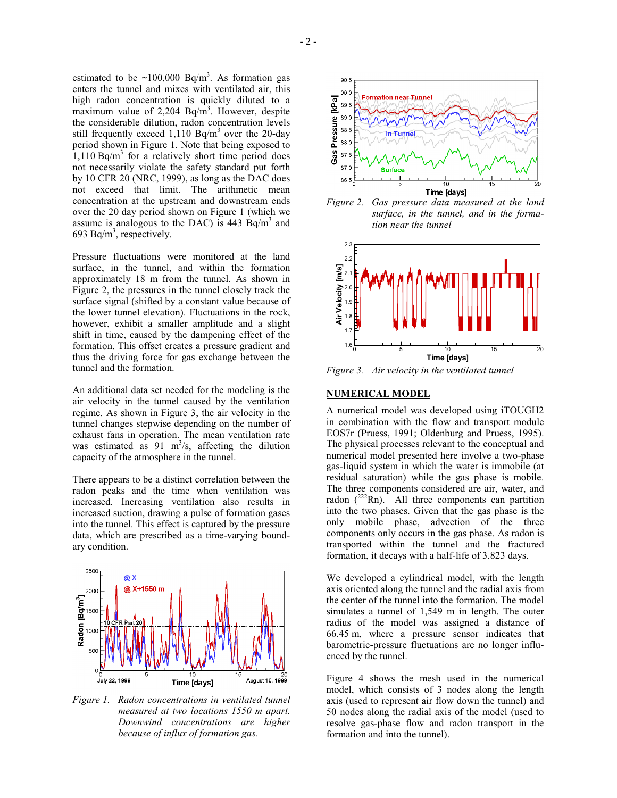$-2-$ 

estimated to be  $\sim$ 100,000 Bq/m<sup>3</sup>. As formation gas enters the tunnel and mixes with ventilated air, this high radon concentration is quickly diluted to a maximum value of 2,204  $Bq/m<sup>3</sup>$ . However, despite the considerable dilution, radon concentration levels still frequently exceed 1,110 Bq/m<sup>3</sup> over the 20-day period shown in Figure 1. Note that being exposed to  $1,110$  Bq/m<sup>3</sup> for a relatively short time period does not necessarily violate the safety standard put forth by 10 CFR 20 (NRC, 1999), as long as the DAC does not exceed that limit. The arithmetic mean concentration at the upstream and downstream ends over the 20 day period shown on Figure 1 (which we assume is analogous to the DAC) is  $443$  Bq/m<sup>3</sup> and 693 Bq/m<sup>3</sup>, respectively.

Pressure fluctuations were monitored at the land surface, in the tunnel, and within the formation approximately 18 m from the tunnel. As shown in Figure 2, the pressures in the tunnel closely track the surface signal (shifted by a constant value because of the lower tunnel elevation). Fluctuations in the rock, however, exhibit a smaller amplitude and a slight shift in time, caused by the dampening effect of the formation. This offset creates a pressure gradient and thus the driving force for gas exchange between the tunnel and the formation.

An additional data set needed for the modeling is the air velocity in the tunnel caused by the ventilation regime. As shown in Figure 3, the air velocity in the tunnel changes stepwise depending on the number of exhaust fans in operation. The mean ventilation rate was estimated as  $91 \text{ m}^3/\text{s}$ , affecting the dilution capacity of the atmosphere in the tunnel.

There appears to be a distinct correlation between the radon peaks and the time when ventilation was increased. Increasing ventilation also results in increased suction, drawing a pulse of formation gases into the tunnel. This effect is captured by the pressure data, which are prescribed as a time-varying boundary condition.



*Figure 1. Radon concentrations in ventilated tunnel measured at two locations 1550 m apart. Downwind concentrations are higher because of influx of formation gas.* 



*Figure 2. Gas pressure data measured at the land surface, in the tunnel, and in the formation near the tunnel* 



*Figure 3. Air velocity in the ventilated tunnel* 

#### **NUMERICAL MODEL**

A numerical model was developed using iTOUGH2 in combination with the flow and transport module EOS7r (Pruess, 1991; Oldenburg and Pruess, 1995). The physical processes relevant to the conceptual and numerical model presented here involve a two-phase gas-liquid system in which the water is immobile (at residual saturation) while the gas phase is mobile. The three components considered are air, water, and radon  $(^{222}Rn)$ . All three components can partition into the two phases. Given that the gas phase is the only mobile phase, advection of the three components only occurs in the gas phase. As radon is transported within the tunnel and the fractured formation, it decays with a half-life of 3.823 days.

We developed a cylindrical model, with the length axis oriented along the tunnel and the radial axis from the center of the tunnel into the formation. The model simulates a tunnel of 1,549 m in length. The outer radius of the model was assigned a distance of 66.45 m, where a pressure sensor indicates that barometric-pressure fluctuations are no longer influenced by the tunnel.

Figure 4 shows the mesh used in the numerical model, which consists of 3 nodes along the length axis (used to represent air flow down the tunnel) and 50 nodes along the radial axis of the model (used to resolve gas-phase flow and radon transport in the formation and into the tunnel).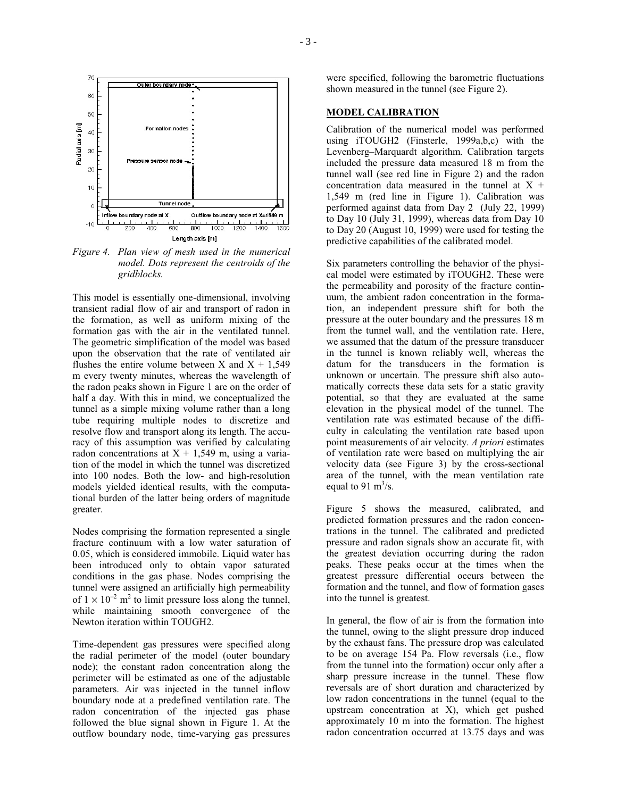

*Figure 4. Plan view of mesh used in the numerical model. Dots represent the centroids of the gridblocks.* 

This model is essentially one-dimensional, involving transient radial flow of air and transport of radon in the formation, as well as uniform mixing of the formation gas with the air in the ventilated tunnel. The geometric simplification of the model was based upon the observation that the rate of ventilated air flushes the entire volume between X and  $X + 1,549$ m every twenty minutes, whereas the wavelength of the radon peaks shown in Figure 1 are on the order of half a day. With this in mind, we conceptualized the tunnel as a simple mixing volume rather than a long tube requiring multiple nodes to discretize and resolve flow and transport along its length. The accuracy of this assumption was verified by calculating radon concentrations at  $X + 1,549$  m, using a variation of the model in which the tunnel was discretized into 100 nodes. Both the low- and high-resolution models yielded identical results, with the computational burden of the latter being orders of magnitude greater.

Nodes comprising the formation represented a single fracture continuum with a low water saturation of 0.05, which is considered immobile. Liquid water has been introduced only to obtain vapor saturated conditions in the gas phase. Nodes comprising the tunnel were assigned an artificially high permeability of  $1 \times 10^{-2}$  m<sup>2</sup> to limit pressure loss along the tunnel, while maintaining smooth convergence of the Newton iteration within TOUGH2.

Time-dependent gas pressures were specified along the radial perimeter of the model (outer boundary node); the constant radon concentration along the perimeter will be estimated as one of the adjustable parameters. Air was injected in the tunnel inflow boundary node at a predefined ventilation rate. The radon concentration of the injected gas phase followed the blue signal shown in Figure 1. At the outflow boundary node, time-varying gas pressures

were specified, following the barometric fluctuations shown measured in the tunnel (see Figure 2).

## **MODEL CALIBRATION**

Calibration of the numerical model was performed using iTOUGH2 (Finsterle, 1999a,b,c) with the Levenberg–Marquardt algorithm. Calibration targets included the pressure data measured 18 m from the tunnel wall (see red line in Figure 2) and the radon concentration data measured in the tunnel at  $X +$ 1,549 m (red line in Figure 1). Calibration was performed against data from Day 2 (July 22, 1999) to Day 10 (July 31, 1999), whereas data from Day 10 to Day 20 (August 10, 1999) were used for testing the predictive capabilities of the calibrated model.

Six parameters controlling the behavior of the physical model were estimated by iTOUGH2. These were the permeability and porosity of the fracture continuum, the ambient radon concentration in the formation, an independent pressure shift for both the pressure at the outer boundary and the pressures 18 m from the tunnel wall, and the ventilation rate. Here, we assumed that the datum of the pressure transducer in the tunnel is known reliably well, whereas the datum for the transducers in the formation is unknown or uncertain. The pressure shift also automatically corrects these data sets for a static gravity potential, so that they are evaluated at the same elevation in the physical model of the tunnel. The ventilation rate was estimated because of the difficulty in calculating the ventilation rate based upon point measurements of air velocity. *A priori* estimates of ventilation rate were based on multiplying the air velocity data (see Figure 3) by the cross-sectional area of the tunnel, with the mean ventilation rate equal to 91 m<sup>3</sup>/s.

Figure 5 shows the measured, calibrated, and predicted formation pressures and the radon concentrations in the tunnel. The calibrated and predicted pressure and radon signals show an accurate fit, with the greatest deviation occurring during the radon peaks. These peaks occur at the times when the greatest pressure differential occurs between the formation and the tunnel, and flow of formation gases into the tunnel is greatest.

In general, the flow of air is from the formation into the tunnel, owing to the slight pressure drop induced by the exhaust fans. The pressure drop was calculated to be on average 154 Pa. Flow reversals (i.e., flow from the tunnel into the formation) occur only after a sharp pressure increase in the tunnel. These flow reversals are of short duration and characterized by low radon concentrations in the tunnel (equal to the upstream concentration at X), which get pushed approximately 10 m into the formation. The highest radon concentration occurred at 13.75 days and was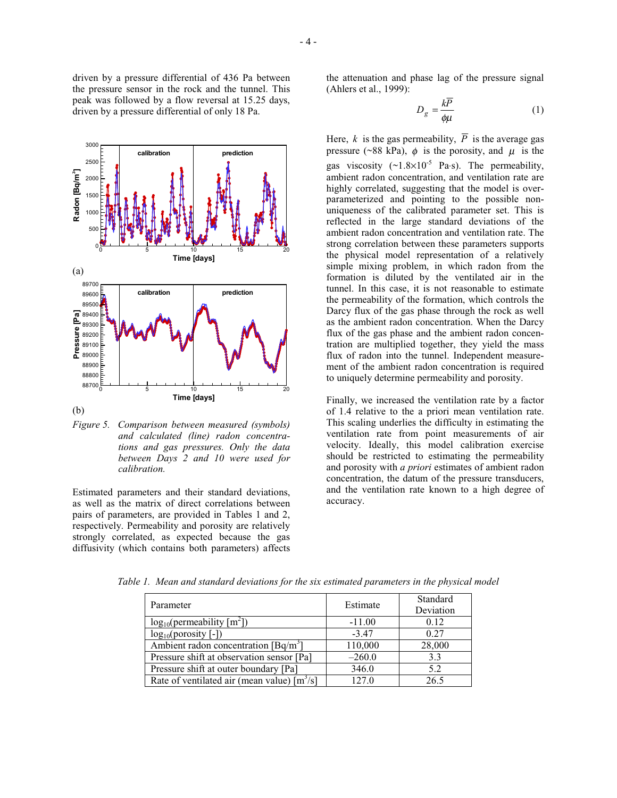driven by a pressure differential of 436 Pa between the pressure sensor in the rock and the tunnel. This peak was followed by a flow reversal at 15.25 days, driven by a pressure differential of only 18 Pa.



*Figure 5. Comparison between measured (symbols) and calculated (line) radon concentrations and gas pressures. Only the data between Days 2 and 10 were used for calibration.* 

Estimated parameters and their standard deviations, as well as the matrix of direct correlations between pairs of parameters, are provided in Tables 1 and 2, respectively. Permeability and porosity are relatively strongly correlated, as expected because the gas diffusivity (which contains both parameters) affects the attenuation and phase lag of the pressure signal (Ahlers et al., 1999):

$$
D_g = \frac{kP}{\phi\mu} \tag{1}
$$

Here, *k* is the gas permeability,  $\overline{P}$  is the average gas pressure (~88 kPa),  $\phi$  is the porosity, and  $\mu$  is the gas viscosity  $(\sim 1.8 \times 10^{-5}$  Pa⋅s). The permeability, ambient radon concentration, and ventilation rate are highly correlated, suggesting that the model is overparameterized and pointing to the possible nonuniqueness of the calibrated parameter set. This is reflected in the large standard deviations of the ambient radon concentration and ventilation rate. The strong correlation between these parameters supports the physical model representation of a relatively simple mixing problem, in which radon from the formation is diluted by the ventilated air in the tunnel. In this case, it is not reasonable to estimate the permeability of the formation, which controls the Darcy flux of the gas phase through the rock as well as the ambient radon concentration. When the Darcy flux of the gas phase and the ambient radon concentration are multiplied together, they yield the mass flux of radon into the tunnel. Independent measurement of the ambient radon concentration is required to uniquely determine permeability and porosity.

Finally, we increased the ventilation rate by a factor of 1.4 relative to the a priori mean ventilation rate. This scaling underlies the difficulty in estimating the ventilation rate from point measurements of air velocity. Ideally, this model calibration exercise should be restricted to estimating the permeability and porosity with *a priori* estimates of ambient radon concentration, the datum of the pressure transducers, and the ventilation rate known to a high degree of accuracy.

| Parameter                                     | Estimate | Standard<br>Deviation |
|-----------------------------------------------|----------|-----------------------|
| $log_{10}(permeability [m2])$                 | $-11.00$ | 0.12                  |
| $log_{10}(porosity$ [-])                      | $-3.47$  | 0.27                  |
| Ambient radon concentration $[Bq/m^3]$        | 110,000  | 28,000                |
| Pressure shift at observation sensor [Pa]     | $-260.0$ | 3.3                   |
| Pressure shift at outer boundary [Pa]         | 346.0    | 5.2                   |
| Rate of ventilated air (mean value) $[m^3/s]$ | 127.0    | 26.5                  |

*Table 1. Mean and standard deviations for the six estimated parameters in the physical model*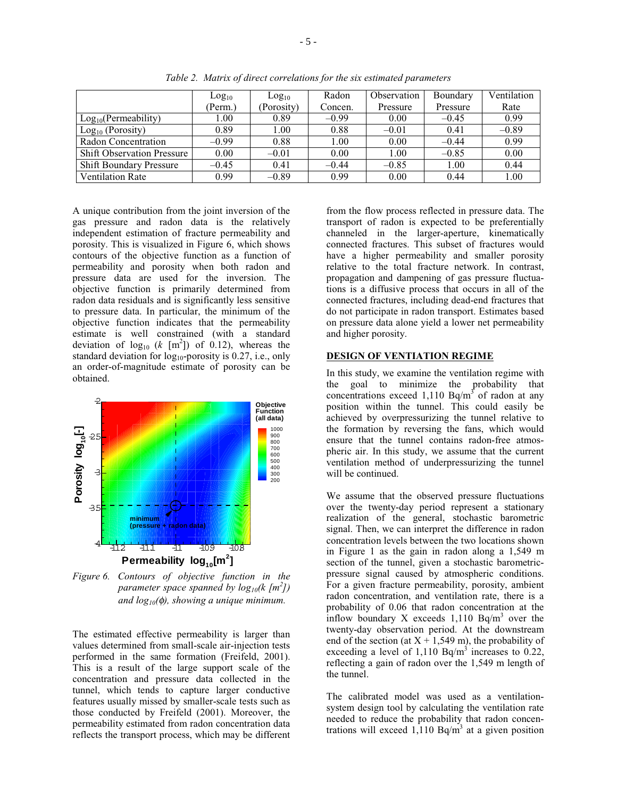|                                   | Log <sub>10</sub> | Log <sub>10</sub> | Radon   | Observation | Boundary | Ventilation |
|-----------------------------------|-------------------|-------------------|---------|-------------|----------|-------------|
|                                   | (Perm.)           | (Porosity)        | Concen. | Pressure    | Pressure | Rate        |
| Log <sub>10</sub> (Permeability)  | L.00              | 0.89              | $-0.99$ | 0.00        | $-0.45$  | 0.99        |
| $Log10$ (Porosity)                | 0.89              | 1.00              | 0.88    | $-0.01$     | 0.41     | $-0.89$     |
| Radon Concentration               | $-0.99$           | 0.88              | 1.00    | 0.00        | $-0.44$  | 0.99        |
| <b>Shift Observation Pressure</b> | 0.00              | $-0.01$           | 0.00    | 1.00        | $-0.85$  | 0.00        |
| <b>Shift Boundary Pressure</b>    | $-0.45$           | 0.41              | $-0.44$ | $-0.85$     | 1.00     | 0.44        |
| <b>Ventilation Rate</b>           | 0.99              | $-0.89$           | 0.99    | 0.00        | 0.44     | 1.00        |

*Table 2. Matrix of direct correlations for the six estimated parameters* 

A unique contribution from the joint inversion of the gas pressure and radon data is the relatively independent estimation of fracture permeability and porosity. This is visualized in Figure 6, which shows contours of the objective function as a function of permeability and porosity when both radon and pressure data are used for the inversion. The objective function is primarily determined from radon data residuals and is significantly less sensitive to pressure data. In particular, the minimum of the objective function indicates that the permeability estimate is well constrained (with a standard deviation of  $log_{10}$  (*k* [m<sup>2</sup>]) of 0.12), whereas the standard deviation for  $log_{10}$ -porosity is 0.27, i.e., only an order-of-magnitude estimate of porosity can be obtained.



*Figure 6. Contours of objective function in the parameter space spanned by log10(k [m<sup>2</sup> ]) and log10(*φ*), showing a unique minimum.* 

The estimated effective permeability is larger than values determined from small-scale air-injection tests performed in the same formation (Freifeld, 2001). This is a result of the large support scale of the concentration and pressure data collected in the tunnel, which tends to capture larger conductive features usually missed by smaller-scale tests such as those conducted by Freifeld (2001). Moreover, the permeability estimated from radon concentration data reflects the transport process, which may be different from the flow process reflected in pressure data. The transport of radon is expected to be preferentially channeled in the larger-aperture, kinematically connected fractures. This subset of fractures would have a higher permeability and smaller porosity relative to the total fracture network. In contrast, propagation and dampening of gas pressure fluctuations is a diffusive process that occurs in all of the connected fractures, including dead-end fractures that do not participate in radon transport. Estimates based on pressure data alone yield a lower net permeability and higher porosity.

### **DESIGN OF VENTIATION REGIME**

In this study, we examine the ventilation regime with the goal to minimize the probability that concentrations exceed 1,110  $Bq/m<sup>3</sup>$  of radon at any position within the tunnel. This could easily be achieved by overpressurizing the tunnel relative to the formation by reversing the fans, which would ensure that the tunnel contains radon-free atmospheric air. In this study, we assume that the current ventilation method of underpressurizing the tunnel will be continued.

We assume that the observed pressure fluctuations over the twenty-day period represent a stationary realization of the general, stochastic barometric signal. Then, we can interpret the difference in radon concentration levels between the two locations shown in Figure 1 as the gain in radon along a 1,549 m section of the tunnel, given a stochastic barometricpressure signal caused by atmospheric conditions. For a given fracture permeability, porosity, ambient radon concentration, and ventilation rate, there is a probability of 0.06 that radon concentration at the inflow boundary X exceeds  $1,110$  Bq/m<sup>3</sup> over the twenty-day observation period. At the downstream end of the section (at  $X + 1,549$  m), the probability of exceeding a level of 1,110 Bq/m<sup>3</sup> increases to 0.22, reflecting a gain of radon over the 1,549 m length of the tunnel.

The calibrated model was used as a ventilationsystem design tool by calculating the ventilation rate needed to reduce the probability that radon concentrations will exceed  $1,110$  Bq/m<sup>3</sup> at a given position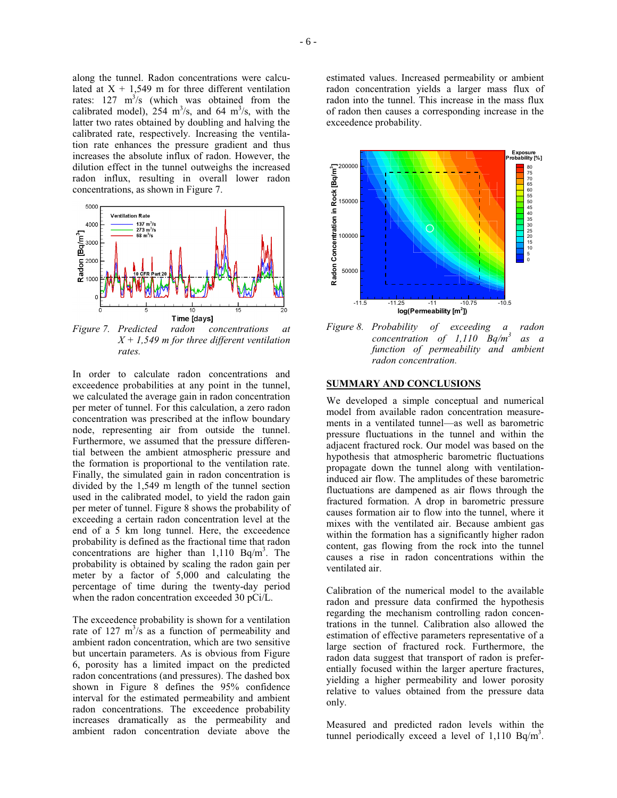along the tunnel. Radon concentrations were calculated at  $X + 1,549$  m for three different ventilation rates:  $127 \text{ m}^3/\text{s}$  (which was obtained from the calibrated model),  $254 \text{ m}^3\text{/s}$ , and  $64 \text{ m}^3\text{/s}$ , with the latter two rates obtained by doubling and halving the calibrated rate, respectively. Increasing the ventilation rate enhances the pressure gradient and thus increases the absolute influx of radon. However, the dilution effect in the tunnel outweighs the increased radon influx, resulting in overall lower radon concentrations, as shown in Figure 7.



*Figure 7. Predicted radon concentrations at X + 1,549 m for three different ventilation rates.* 

In order to calculate radon concentrations and exceedence probabilities at any point in the tunnel, we calculated the average gain in radon concentration per meter of tunnel. For this calculation, a zero radon concentration was prescribed at the inflow boundary node, representing air from outside the tunnel. Furthermore, we assumed that the pressure differential between the ambient atmospheric pressure and the formation is proportional to the ventilation rate. Finally, the simulated gain in radon concentration is divided by the 1,549 m length of the tunnel section used in the calibrated model, to yield the radon gain per meter of tunnel. Figure 8 shows the probability of exceeding a certain radon concentration level at the end of a 5 km long tunnel. Here, the exceedence probability is defined as the fractional time that radon concentrations are higher than  $1,110$  Bq/m<sup>3</sup>. The probability is obtained by scaling the radon gain per meter by a factor of 5,000 and calculating the percentage of time during the twenty-day period when the radon concentration exceeded 30 pCi/L.

The exceedence probability is shown for a ventilation rate of 127  $m^3/s$  as a function of permeability and ambient radon concentration, which are two sensitive but uncertain parameters. As is obvious from Figure 6, porosity has a limited impact on the predicted radon concentrations (and pressures). The dashed box shown in Figure 8 defines the 95% confidence interval for the estimated permeability and ambient radon concentrations. The exceedence probability increases dramatically as the permeability and ambient radon concentration deviate above the

estimated values. Increased permeability or ambient radon concentration yields a larger mass flux of radon into the tunnel. This increase in the mass flux of radon then causes a corresponding increase in the exceedence probability.



*Figure 8. Probability of exceeding a radon concentration of 1,110 Bq/m3 as a function of permeability and ambient radon concentration.* 

#### **SUMMARY AND CONCLUSIONS**

We developed a simple conceptual and numerical model from available radon concentration measurements in a ventilated tunnel—as well as barometric pressure fluctuations in the tunnel and within the adjacent fractured rock. Our model was based on the hypothesis that atmospheric barometric fluctuations propagate down the tunnel along with ventilationinduced air flow. The amplitudes of these barometric fluctuations are dampened as air flows through the fractured formation. A drop in barometric pressure causes formation air to flow into the tunnel, where it mixes with the ventilated air. Because ambient gas within the formation has a significantly higher radon content, gas flowing from the rock into the tunnel causes a rise in radon concentrations within the ventilated air.

Calibration of the numerical model to the available radon and pressure data confirmed the hypothesis regarding the mechanism controlling radon concentrations in the tunnel. Calibration also allowed the estimation of effective parameters representative of a large section of fractured rock. Furthermore, the radon data suggest that transport of radon is preferentially focused within the larger aperture fractures, yielding a higher permeability and lower porosity relative to values obtained from the pressure data only.

Measured and predicted radon levels within the tunnel periodically exceed a level of  $1,110$  Bq/m<sup>3</sup>.